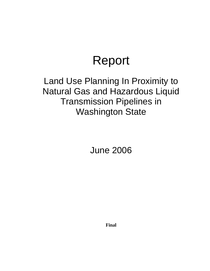# Report

# Land Use Planning In Proximity to Natural Gas and Hazardous Liquid Transmission Pipelines in Washington State

June 2006

**Final**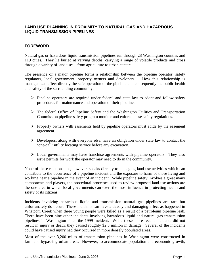#### **LAND USE PLANNING IN PROXIMITY TO NATURAL GAS AND HAZARDOUS LIQUID TRANSMISSION PIPELINES**

# **FOREWORD**

Natural gas or hazardous liquid transmission pipelines run through 28 Washington counties and 119 cities. They lie buried at varying depths, carrying a range of volatile products and cross through a variety of land uses --from agriculture to urban centers.

The presence of a major pipeline forms a relationship between the pipeline operator, safety regulators, local government, property owners and developers. How this relationship is managed can affect directly the safe operation of the pipeline and consequently the public health and safety of the surrounding community.

- ¾ Pipeline operators are required under federal and state law to adopt and follow safety procedures for maintenance and operation of their pipeline.
- $\triangleright$  The federal Office of Pipeline Safety and the Washington Utilities and Transportation Commission pipeline safety program monitor and enforce these safety regulations.
- $\triangleright$  Property owners with easements held by pipeline operators must abide by the easement agreement.
- $\triangleright$  Developers, along with everyone else, have an obligation under state law to contact the 'one-call' utility locating service before any excavation.
- $\triangleright$  Local governments may have franchise agreements with pipeline operators. They also issue permits for work the operator may need to do in the community.

None of these relationships, however, speaks directly to managing land use activities which can contribute to the occurrence of a pipeline incident and the exposure to harm of those living and working near a pipeline in the event of an incident. While pipeline safety involves a great many components and players, the procedural processes used to review proposed land use actions are the one area in which local governments can exert the most influence in protecting health and safety of its citizens.

Incidents involving hazardous liquid and transmission natural gas pipelines are rare but unfortunately do occur. These incidents can have a deadly and damaging effect as happened in Whatcom Creek when three young people were killed as a result of a petroleum pipeline leak. There have been nine other incidents involving hazardous liquid and natural gas transmission pipelines in Washington since the 1999 incident. While these more recent incidents did not result in injury or death, they caused roughly \$2.5 million in damage. Several of the incidents could have caused injury had they occurred in more densely populated areas.

Most of the over 3,200 miles of transmission pipelines in Washington were constructed in farmland bypassing urban areas. However, to accommodate population and economic growth,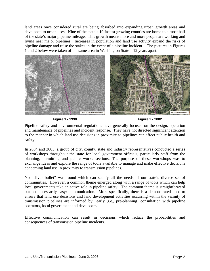land areas once considered rural are being absorbed into expanding urban growth areas and developed to urban uses. Nine of the state's 10 fastest growing counties are home to almost half of the state's major pipeline mileage. This growth means more and more people are working and living near major pipelines. Increases in population and land use activity expand the risks of pipeline damage and raise the stakes in the event of a pipeline incident. The pictures in Figures 1 and 2 below were taken of the same area in Washington State – 12 years apart.



**Figure 1 - 1990 Figure 2 - 2002** 

Pipeline safety and environmental regulations have generally focused on the design, operation and maintenance of pipelines and incident response. They have not directed significant attention to the manner in which land use decisions in proximity to pipelines can affect public health and safety.

In 2004 and 2005, a group of city, county, state and industry representatives conducted a series of workshops throughout the state for local government officials, particularly staff from the planning, permitting and public works sections. The purpose of these workshops was to exchange ideas and explore the range of tools available to manage and make effective decisions concerning land use in proximity to transmission pipelines.

No "silver bullet" was found which can satisfy all the needs of our state's diverse set of communities. However, a common theme emerged along with a range of tools which can help local governments take an active role in pipeline safety. The common theme is straightforward but not necessarily easy: communication. More specifically, there is a demonstrated need to ensure that land use decisions and land development activities occurring within the vicinity of transmission pipelines are informed by early (i.e., pre-planning) consultation with pipeline operators, local government and developers.

Effective communication can result in decisions which reduce the probabilities and consequences of transmission pipeline incidents.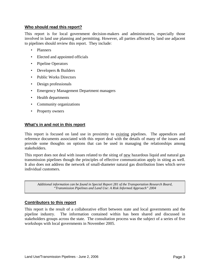#### **Who should read this report?**

This report is for local government decision-makers and administrators, especially those involved in land use planning and permitting. However, all parties affected by land use adjacent to pipelines should review this report. They include:

- Planners
- Elected and appointed officials
- Pipeline Operators
- Developers & Builders
- Public Works Directors
- Design professionals
- Emergency Management Department managers
- Health departments
- Community organizations
- Property owners

#### **What's in and not in this report**

This report is focused on land use in proximity to existing pipelines. The appendices and reference documents associated with this report deal with the details of many of the issues and provide some thoughts on options that can be used in managing the relationships among stakeholders.

This report does not deal with issues related to the siting of new hazardous liquid and natural gas transmission pipelines though the principles of effective communication apply in siting as well. It also does not address the network of small-diameter natural gas distribution lines which serve individual customers.

*Additional information can be found in Special Report 281 of the Transportation Research Board, "Transmission Pipelines and Land Use: A Risk Informed Approach" 2004* 

#### **Contributors to this report**

This report is the result of a collaborative effort between state and local governments and the pipeline industry. The information contained within has been shared and discussed in stakeholders groups across the state. The consultation process was the subject of a series of five workshops with local governments in November 2005.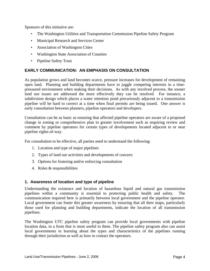Sponsors of this initiative are:

- The Washington Utilities and Transportation Commission Pipeline Safety Program
- Municipal Research and Services Center
- Association of Washington Cities
- Washington State Association of Counties
- Pipeline Safety Trust

# **EARLY COMMUNICATION: AN EMPHASIS ON CONSULTATION**

As population grows and land becomes scarce, pressure increases for development of remaining open land. Planning and building departments have to juggle competing interests in a timepressured environment when making their decisions. As with any involved process, the sooner land use issues are addressed the more effectively they can be resolved. For instance, a subdivision design which places a water retention pond precariously adjacent to a transmission pipeline will be hard to correct at a time when final permits are being issued. One answer is early consultation between planners, pipeline operators and developers.

Consultation can be as basic as ensuring that affected pipeline operators are aware of a proposed change in zoning or comprehensive plan to greater involvement such as requiring review and comment by pipeline operators for certain types of developments located adjacent to or near pipeline rights-of-way.

For consultation to be effective, all parties need to understand the following:

- 1. Location and type of major pipelines
- 2. Types of land use activities and developments of concern
- 3. Options for fostering and/or enforcing consultation
- 4. Roles & responsibilities

#### **1. Awareness of location and type of pipeline**

Understanding the existence and location of hazardous liquid and natural gas transmission pipelines within a community is essential to protecting public health and safety. The communication required here is primarily between local government and the pipeline operator. Local government can foster this greater awareness by ensuring that all their maps, particularly those used for planning and building departments, indicate the location of all transmission pipelines.

The Washington UTC pipeline safety program can provide local governments with pipeline location data, in a form that is most useful to them. The pipeline safety program also can assist local governments in learning about the types and characteristics of the pipelines running through their jurisdiction as well as how to contact the operators.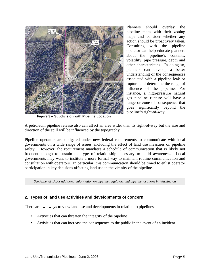

Planners should overlay the pipeline maps with their zoning maps and consider whether any action should be proactively taken. Consulting with the pipeline operator can help educate planners about the pipeline's contents, volatility, pipe pressure, depth and other characteristics. In doing so, planners can develop a better understanding of the consequences associated with a pipeline leak or rupture and determine the range of influence of the pipeline. For instance, a high-pressure natural gas pipeline rupture will have a range or zone of consequence that goes significantly beyond the pipeline's right-of-way.

**Figure 3 – Subdivision with Pipeline Location** 

A petroleum pipeline release also can affect an area wider than its right-of-way but the size and direction of the spill will be influenced by the topography.

Pipeline operators are obligated under new federal requirements to communicate with local governments on a wide range of issues, including the effect of land use measures on pipeline safety. However, the requirement mandates a schedule of communication that is likely not frequent enough to sustain the type of relationship necessary to build awareness. Local governments may want to institute a more formal way to maintain routine communication and consultation with operators. In particular, this communication should be timed to enlist operator participation in key decisions affecting land use in the vicinity of the pipeline.

*See Appendix A for additional information on pipeline regulators and pipeline locations in Washington* 

#### **2. Types of land use activities and developments of concern**

There are two ways to view land use and developments in relation to pipelines.

- Activities that can threaten the integrity of the pipeline
- Activities that can increase the consequence to the public in the event of an incident.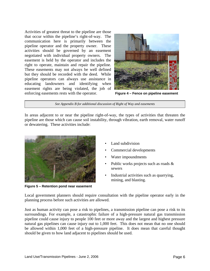Activities of greatest threat to the pipeline are those that occur within the pipeline's right-of-way. The communication here is primarily between the pipeline operator and the property owner. These activities should be governed by an easement negotiated with individual property owners. The easement is held by the operator and includes the right to operate, maintain and repair the pipeline. These easements may not always be well defined but they should be recorded with the deed. While pipeline operators can always use assistance in educating landowners and identifying when easement rights are being violated, the job of enforcing easements rests with the operator. **Figure 4 – Fence on pipeline easement**



*See Appendix B for additional discussion of Right of Way and easements* 

In areas adjacent to or near the pipeline right-of-way, the types of activities that threaten the pipeline are those which can cause soil instability, through vibration, earth removal, water runoff or dewatering. These activities include:



**Figure 5 – Retention pond near easement** 

- Land subdivision
- Commercial developments
- Water impoundments
- Public works projects such as roads  $\&$ sewers
- Industrial activities such as quarrying, mining, and blasting.

Local government planners should require consultation with the pipeline operator early in the planning process before such activities are allowed.

Just as human activity can pose a risk to pipelines, a transmission pipeline can pose a risk to its surroundings. For example, a catastrophic failure of a high-pressure natural gas transmission pipeline could cause injury to people 100 feet or more away and the largest and highest pressure natural gas pipelines can cause injury out to 1,000 feet. This does not mean that no one should be allowed within 1,000 feet of a high-pressure pipeline. It does mean that careful thought should be given to how land adjacent to pipelines should be used.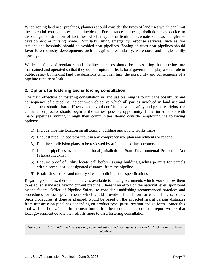When zoning land near pipelines, planners should consider the types of land uses which can limit the potential consequences of an incident. For instance, a local jurisdiction may decide to discourage construction of facilities which may be difficult to evacuate such as a high-rise development or nursing home. Similarly, siting emergency response services, such as fire stations and hospitals, should be avoided near pipelines. Zoning of areas near pipelines should favor lower density developments such as agriculture, industry, warehouse and single family housing.

While the focus of regulators and pipeline operators should be on assuring that pipelines are maintained and operated so that they do not rupture or leak, local governments play a vital role in public safety by making land use decisions which can limit the possibility and consequence of a pipeline rupture or leak.

# **3. Options for fostering and enforcing consultation**

The main objective of fostering consultation in land use planning is to limit the possibility and consequence of a pipeline incident—an objective which all parties involved in land use and development should share. However, to avoid conflicts between safety and property rights, the consultation process should begin at the earliest possible opportunity. Local jurisdictions with major pipelines running through their communities should consider employing the following options:

- 1) Include pipeline location on all zoning, building and public works maps
- 2) Request pipeline operator input in any comprehensive plan amendments or rezone
- 3) Require subdivision plans to be reviewed by affected pipeline operators
- 4) Include pipelines as part of the local jurisdiction's State Environmental Protection Act (SEPA) checklist
- 5) Require proof of utility locate call before issuing building/grading permits for parcels within some locally designated distance from the pipeline
- 6) Establish setbacks and modify site and building code specifications

Regarding setbacks, there is no analysis available to local governments which would allow them to establish standards beyond current practice. There is an effort on the national level, sponsored by the federal Office of Pipeline Safety, to consider establishing recommended practices and procedures for local governments which could provide a foundation for establishing setbacks. Such procedures, if done as planned, would be based on the expected risk at various distances from transmission pipelines depending on product type, pressurization and so forth. Since this tool will not be available in the near future, it's the recommendation of the report writers that local government devote their efforts more toward fostering consultation.

*See Appendix C for additional discussion of communications and management options for land use in proximity to pipelines.*